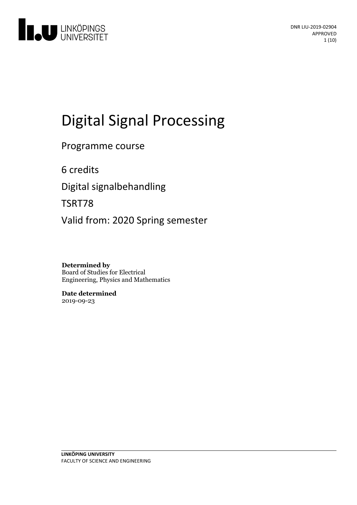

# Digital Signal Processing

## Programme course

6 credits

Digital signalbehandling

TSRT78

Valid from: 2020 Spring semester

**Determined by** Board of Studies for Electrical Engineering, Physics and Mathematics

**Date determined** 2019-09-23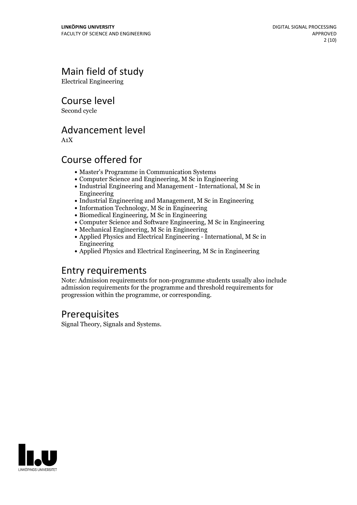## Main field of study

Electrical Engineering

Course level

Second cycle

## Advancement level

A1X

## Course offered for

- Master's Programme in Communication Systems
- Computer Science and Engineering, M Sc in Engineering
- Industrial Engineering and Management International, M Sc in Engineering
- Industrial Engineering and Management, M Sc in Engineering
- Information Technology, M Sc in Engineering
- Biomedical Engineering, M Sc in Engineering
- Computer Science and Software Engineering, M Sc in Engineering
- Mechanical Engineering, M Sc in Engineering
- Applied Physics and Electrical Engineering International, M Sc in Engineering
- Applied Physics and Electrical Engineering, M Sc in Engineering

## Entry requirements

Note: Admission requirements for non-programme students usually also include admission requirements for the programme and threshold requirements for progression within the programme, or corresponding.

## **Prerequisites**

Signal Theory, Signals and Systems.

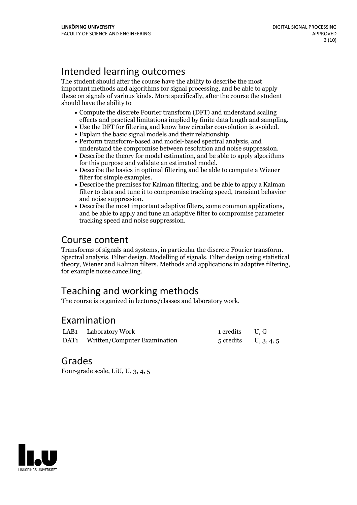## Intended learning outcomes

The student should after the course have the ability to describe the most important methods and algorithms for signal processing, and be able to apply these on signals of various kinds. More specifically, after the course the student should have the ability to

- Compute the discrete Fourier transform (DFT) and understand scaling
- 
- 
- % effects and practical limitations implied by finite data length and sampling.<br>• Use the DFT for filtering and know how circular convolution is avoided.<br>• Explain the basic signal models and their relationship.<br>• Perform
- $\bullet$  Describe the theory for model estimation, and be able to apply algorithms for this purpose and validate an estimated model.<br>• Describe the basics in optimal filtering and be able to compute a Wiener
- filter for simple examples.<br>• Describe the premises for Kalman filtering, and be able to apply a Kalman
- filter to data and tune it to compromise tracking speed, transient behavior
- Describe the most important adaptive filters, some common applications, and be able to apply and tune an adaptive filter to compromise parameter tracking speed and noise suppression.

## Course content

Transforms of signals and systems, in particular the discrete Fourier transform. Spectral analysis. Filter design. Modelling of signals. Filter design using statistical theory, Wiener and Kalman filters. Methods and applications in adaptive filtering, for example noise cancelling.

## Teaching and working methods

The course is organized in lectures/classes and laboratory work.

## Examination

| LAB1 Laboratory Work              | 1 credits U.G          |  |
|-----------------------------------|------------------------|--|
| DAT1 Written/Computer Examination | $5$ credits U, 3, 4, 5 |  |

### Grades

Four-grade scale, LiU, U, 3, 4, 5

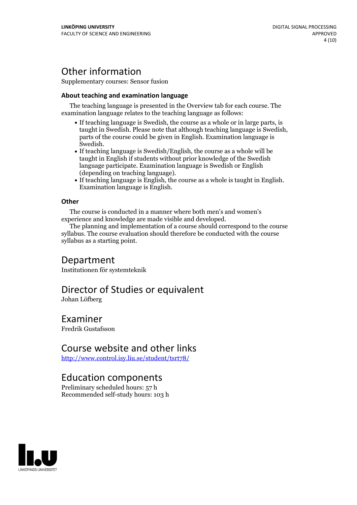## Other information

Supplementary courses: Sensor fusion

### **About teaching and examination language**

The teaching language is presented in the Overview tab for each course. The examination language relates to the teaching language as follows:

- If teaching language is Swedish, the course as a whole or in large parts, is parts of the course could be given in English. Examination language is Swedish.<br>• If teaching language is Swedish/English, the course as a whole will be
- taught in English if students without prior knowledge of the Swedish language participate. Examination language is Swedish or English
- (depending on teaching language).<br>• If teaching language is English, the course as a whole is taught in English.<br>Examination language is English.

### **Other**

The course is conducted in a manner where both men's and women's experience and knowledge are made visible and developed.

The planning and implementation of a course should correspond to the course syllabus. The course evaluation should therefore be conducted with the course syllabus as a starting point.

### Department

Institutionen för systemteknik

## Director of Studies or equivalent

Johan Löfberg

### Examiner

Fredrik Gustafsson

### Course website and other links

<http://www.control.isy.liu.se/student/tsrt78/>

### Education components

Preliminary scheduled hours: 57 h Recommended self-study hours: 103 h

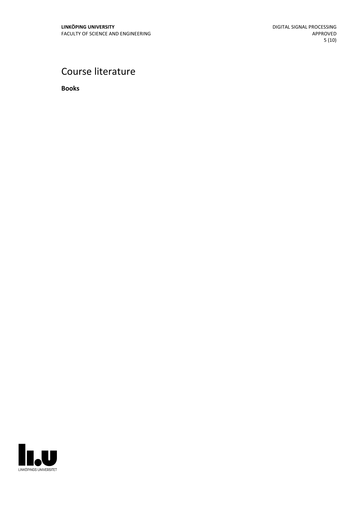## Course literature

**Books**

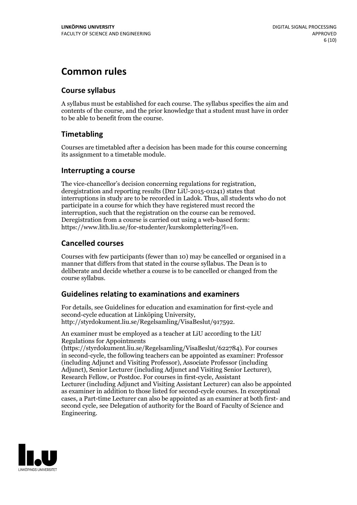## **Common rules**

### **Course syllabus**

A syllabus must be established for each course. The syllabus specifies the aim and contents of the course, and the prior knowledge that a student must have in order to be able to benefit from the course.

### **Timetabling**

Courses are timetabled after a decision has been made for this course concerning its assignment to a timetable module.

### **Interrupting a course**

The vice-chancellor's decision concerning regulations for registration, deregistration and reporting results (Dnr LiU-2015-01241) states that interruptions in study are to be recorded in Ladok. Thus, all students who do not participate in a course for which they have registered must record the interruption, such that the registration on the course can be removed. Deregistration from <sup>a</sup> course is carried outusing <sup>a</sup> web-based form: https://www.lith.liu.se/for-studenter/kurskomplettering?l=en.

### **Cancelled courses**

Courses with few participants (fewer than 10) may be cancelled or organised in a manner that differs from that stated in the course syllabus. The Dean is to deliberate and decide whether a course is to be cancelled or changed from the course syllabus.

### **Guidelines relatingto examinations and examiners**

For details, see Guidelines for education and examination for first-cycle and second-cycle education at Linköping University, http://styrdokument.liu.se/Regelsamling/VisaBeslut/917592.

An examiner must be employed as a teacher at LiU according to the LiU Regulations for Appointments

(https://styrdokument.liu.se/Regelsamling/VisaBeslut/622784). For courses in second-cycle, the following teachers can be appointed as examiner: Professor (including Adjunct and Visiting Professor), Associate Professor (including Adjunct), Senior Lecturer (including Adjunct and Visiting Senior Lecturer), Research Fellow, or Postdoc. For courses in first-cycle, Assistant Lecturer (including Adjunct and Visiting Assistant Lecturer) can also be appointed as examiner in addition to those listed for second-cycle courses. In exceptional cases, a Part-time Lecturer can also be appointed as an examiner at both first- and second cycle, see Delegation of authority for the Board of Faculty of Science and Engineering.

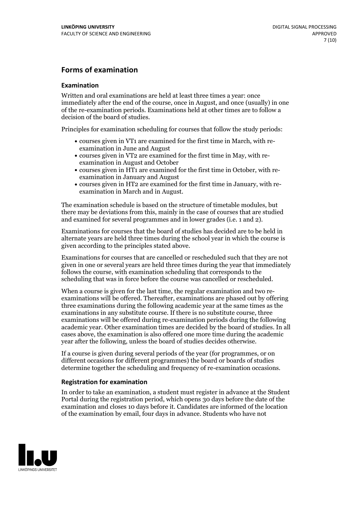### **Forms of examination**

### **Examination**

Written and oral examinations are held at least three times a year: once immediately after the end of the course, once in August, and once (usually) in one of the re-examination periods. Examinations held at other times are to follow a decision of the board of studies.

Principles for examination scheduling for courses that follow the study periods:

- courses given in VT1 are examined for the first time in March, with re-examination in June and August
- courses given in VT2 are examined for the first time in May, with re-examination in August and October
- courses given in HT1 are examined for the first time in October, with re-examination in January and August
- courses given in HT2 are examined for the first time in January, with re-examination in March and in August.

The examination schedule is based on the structure of timetable modules, but there may be deviations from this, mainly in the case of courses that are studied and examined for several programmes and in lower grades (i.e. 1 and 2).

Examinations for courses that the board of studies has decided are to be held in alternate years are held three times during the school year in which the course is given according to the principles stated above.

Examinations for courses that are cancelled orrescheduled such that they are not given in one or several years are held three times during the year that immediately follows the course, with examination scheduling that corresponds to the scheduling that was in force before the course was cancelled or rescheduled.

When a course is given for the last time, the regular examination and two re-<br>examinations will be offered. Thereafter, examinations are phased out by offering three examinations during the following academic year at the same times as the examinations in any substitute course. If there is no substitute course, three examinations will be offered during re-examination periods during the following academic year. Other examination times are decided by the board of studies. In all cases above, the examination is also offered one more time during the academic year after the following, unless the board of studies decides otherwise.

If a course is given during several periods of the year (for programmes, or on different occasions for different programmes) the board or boards of studies determine together the scheduling and frequency of re-examination occasions.

### **Registration for examination**

In order to take an examination, a student must register in advance at the Student Portal during the registration period, which opens 30 days before the date of the examination and closes 10 days before it. Candidates are informed of the location of the examination by email, four days in advance. Students who have not

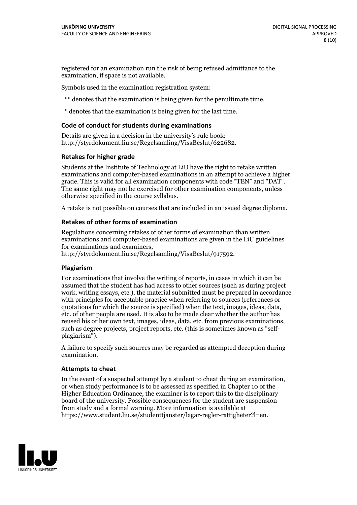registered for an examination run the risk of being refused admittance to the examination, if space is not available.

Symbols used in the examination registration system:

\*\* denotes that the examination is being given for the penultimate time.

\* denotes that the examination is being given for the last time.

### **Code of conduct for students during examinations**

Details are given in a decision in the university's rule book: http://styrdokument.liu.se/Regelsamling/VisaBeslut/622682.

#### **Retakes for higher grade**

Students at the Institute of Technology at LiU have the right to retake written examinations and computer-based examinations in an attempt to achieve a higher grade. This is valid for all examination components with code "TEN" and "DAT". The same right may not be exercised for other examination components, unless otherwise specified in the course syllabus.

A retake is not possible on courses that are included in an issued degree diploma.

#### **Retakes of other forms of examination**

Regulations concerning retakes of other forms of examination than written examinations and computer-based examinations are given in the LiU guidelines

http://styrdokument.liu.se/Regelsamling/VisaBeslut/917592.

#### **Plagiarism**

For examinations that involve the writing of reports, in cases in which it can be assumed that the student has had access to other sources (such as during project work, writing essays, etc.), the material submitted must be prepared in accordance with principles for acceptable practice when referring to sources (references or quotations for which the source is specified) when the text, images, ideas, data,  $\vec{e}$  etc. of other people are used. It is also to be made clear whether the author has reused his or her own text, images, ideas, data, etc. from previous examinations, such as degree projects, project reports, etc. (this is sometimes known as "self- plagiarism").

A failure to specify such sources may be regarded as attempted deception during examination.

#### **Attempts to cheat**

In the event of <sup>a</sup> suspected attempt by <sup>a</sup> student to cheat during an examination, or when study performance is to be assessed as specified in Chapter <sup>10</sup> of the Higher Education Ordinance, the examiner is to report this to the disciplinary board of the university. Possible consequences for the student are suspension from study and a formal warning. More information is available at https://www.student.liu.se/studenttjanster/lagar-regler-rattigheter?l=en.

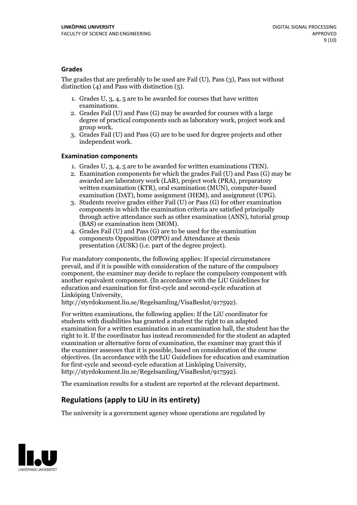### **Grades**

The grades that are preferably to be used are Fail (U), Pass (3), Pass not without distinction  $(4)$  and Pass with distinction  $(5)$ .

- 1. Grades U, 3, 4, 5 are to be awarded for courses that have written
- examinations. 2. Grades Fail (U) and Pass (G) may be awarded for courses with <sup>a</sup> large degree of practical components such as laboratory work, project work and group work. 3. Grades Fail (U) and Pass (G) are to be used for degree projects and other
- independent work.

### **Examination components**

- 
- 1. Grades U, 3, 4, <sup>5</sup> are to be awarded for written examinations (TEN). 2. Examination components for which the grades Fail (U) and Pass (G) may be awarded are laboratory work (LAB), project work (PRA), preparatory written examination (KTR), oral examination (MUN), computer-based
- examination (DAT), home assignment (HEM), and assignment (UPG). 3. Students receive grades either Fail (U) or Pass (G) for other examination components in which the examination criteria are satisfied principally through active attendance such as other examination (ANN), tutorial group
- (BAS) or examination item (MOM). 4. Grades Fail (U) and Pass (G) are to be used for the examination components Opposition (OPPO) and Attendance at thesis presentation (AUSK) (i.e. part of the degree project).

For mandatory components, the following applies: If special circumstances prevail, and if it is possible with consideration of the nature of the compulsory component, the examiner may decide to replace the compulsory component with another equivalent component. (In accordance with the LiU Guidelines for education and examination for first-cycle and second-cycle education at Linköping University, http://styrdokument.liu.se/Regelsamling/VisaBeslut/917592).

For written examinations, the following applies: If the LiU coordinator for students with disabilities has granted a student the right to an adapted examination for a written examination in an examination hall, the student has the right to it. If the coordinator has instead recommended for the student an adapted examination or alternative form of examination, the examiner may grant this if the examiner assesses that it is possible, based on consideration of the course objectives. (In accordance with the LiU Guidelines for education and examination for first-cycle and second-cycle education at Linköping University, http://styrdokument.liu.se/Regelsamling/VisaBeslut/917592).

The examination results for a student are reported at the relevant department.

### **Regulations (applyto LiU in its entirety)**

The university is a government agency whose operations are regulated by